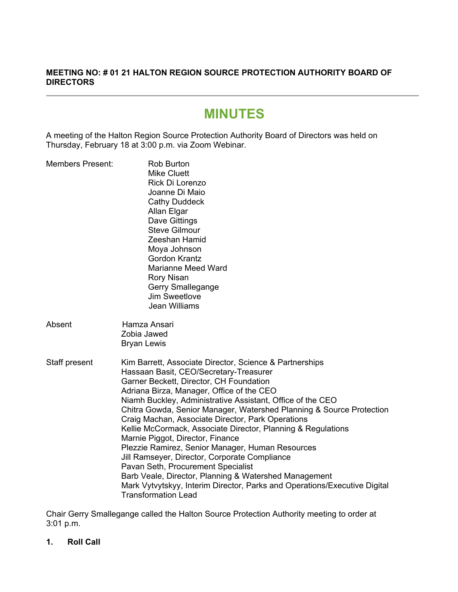# **MEETING NO: # 01 21 HALTON REGION SOURCE PROTECTION AUTHORITY BOARD OF DIRECTORS**

# **MINUTES**

A meeting of the Halton Region Source Protection Authority Board of Directors was held on Thursday, February 18 at 3:00 p.m. via Zoom Webinar.

| <b>Members Present:</b> | <b>Rob Burton</b><br><b>Mike Cluett</b><br>Rick Di Lorenzo<br>Joanne Di Maio<br><b>Cathy Duddeck</b><br>Allan Elgar<br>Dave Gittings<br><b>Steve Gilmour</b><br>Zeeshan Hamid<br>Moya Johnson<br><b>Gordon Krantz</b><br><b>Marianne Meed Ward</b><br><b>Rory Nisan</b><br>Gerry Smallegange<br><b>Jim Sweetlove</b><br>Jean Williams                                                                                                                                                                                                                                                                                                                                                                                                                                                                   |  |
|-------------------------|---------------------------------------------------------------------------------------------------------------------------------------------------------------------------------------------------------------------------------------------------------------------------------------------------------------------------------------------------------------------------------------------------------------------------------------------------------------------------------------------------------------------------------------------------------------------------------------------------------------------------------------------------------------------------------------------------------------------------------------------------------------------------------------------------------|--|
| Absent                  | Hamza Ansari<br>Zobia Jawed<br><b>Bryan Lewis</b>                                                                                                                                                                                                                                                                                                                                                                                                                                                                                                                                                                                                                                                                                                                                                       |  |
| Staff present           | Kim Barrett, Associate Director, Science & Partnerships<br>Hassaan Basit, CEO/Secretary-Treasurer<br>Garner Beckett, Director, CH Foundation<br>Adriana Birza, Manager, Office of the CEO<br>Niamh Buckley, Administrative Assistant, Office of the CEO<br>Chitra Gowda, Senior Manager, Watershed Planning & Source Protection<br>Craig Machan, Associate Director, Park Operations<br>Kellie McCormack, Associate Director, Planning & Regulations<br>Marnie Piggot, Director, Finance<br>Plezzie Ramirez, Senior Manager, Human Resources<br>Jill Ramseyer, Director, Corporate Compliance<br>Pavan Seth, Procurement Specialist<br>Barb Veale, Director, Planning & Watershed Management<br>Mark Vytvytskyy, Interim Director, Parks and Operations/Executive Digital<br><b>Transformation Lead</b> |  |

Chair Gerry Smallegange called the Halton Source Protection Authority meeting to order at 3:01 p.m.

**1. Roll Call**